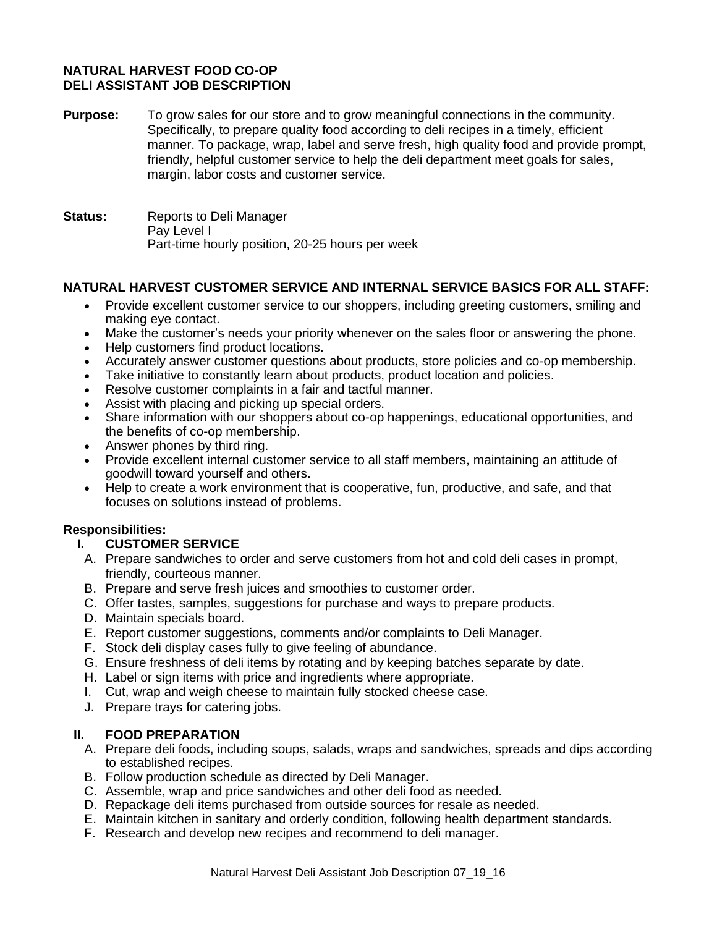# **NATURAL HARVEST FOOD CO-OP DELI ASSISTANT JOB DESCRIPTION**

- **Purpose:** To grow sales for our store and to grow meaningful connections in the community. Specifically, to prepare quality food according to deli recipes in a timely, efficient manner. To package, wrap, label and serve fresh, high quality food and provide prompt, friendly, helpful customer service to help the deli department meet goals for sales, margin, labor costs and customer service.
- **Status:** Reports to Deli Manager Pay Level I Part-time hourly position, 20-25 hours per week

## **NATURAL HARVEST CUSTOMER SERVICE AND INTERNAL SERVICE BASICS FOR ALL STAFF:**

- Provide excellent customer service to our shoppers, including greeting customers, smiling and making eye contact.
- Make the customer's needs your priority whenever on the sales floor or answering the phone.
- Help customers find product locations.
- Accurately answer customer questions about products, store policies and co-op membership.
- Take initiative to constantly learn about products, product location and policies.
- Resolve customer complaints in a fair and tactful manner.
- Assist with placing and picking up special orders.
- Share information with our shoppers about co-op happenings, educational opportunities, and the benefits of co-op membership.
- Answer phones by third ring.
- Provide excellent internal customer service to all staff members, maintaining an attitude of goodwill toward yourself and others.
- Help to create a work environment that is cooperative, fun, productive, and safe, and that focuses on solutions instead of problems.

## **Responsibilities:**

## **I. CUSTOMER SERVICE**

- A. Prepare sandwiches to order and serve customers from hot and cold deli cases in prompt, friendly, courteous manner.
- B. Prepare and serve fresh juices and smoothies to customer order.
- C. Offer tastes, samples, suggestions for purchase and ways to prepare products.
- D. Maintain specials board.
- E. Report customer suggestions, comments and/or complaints to Deli Manager.
- F. Stock deli display cases fully to give feeling of abundance.
- G. Ensure freshness of deli items by rotating and by keeping batches separate by date.
- H. Label or sign items with price and ingredients where appropriate.
- I. Cut, wrap and weigh cheese to maintain fully stocked cheese case.
- J. Prepare trays for catering jobs.

#### **II. FOOD PREPARATION**

- A. Prepare deli foods, including soups, salads, wraps and sandwiches, spreads and dips according to established recipes.
- B. Follow production schedule as directed by Deli Manager.
- C. Assemble, wrap and price sandwiches and other deli food as needed.
- D. Repackage deli items purchased from outside sources for resale as needed.
- E. Maintain kitchen in sanitary and orderly condition, following health department standards.
- F. Research and develop new recipes and recommend to deli manager.